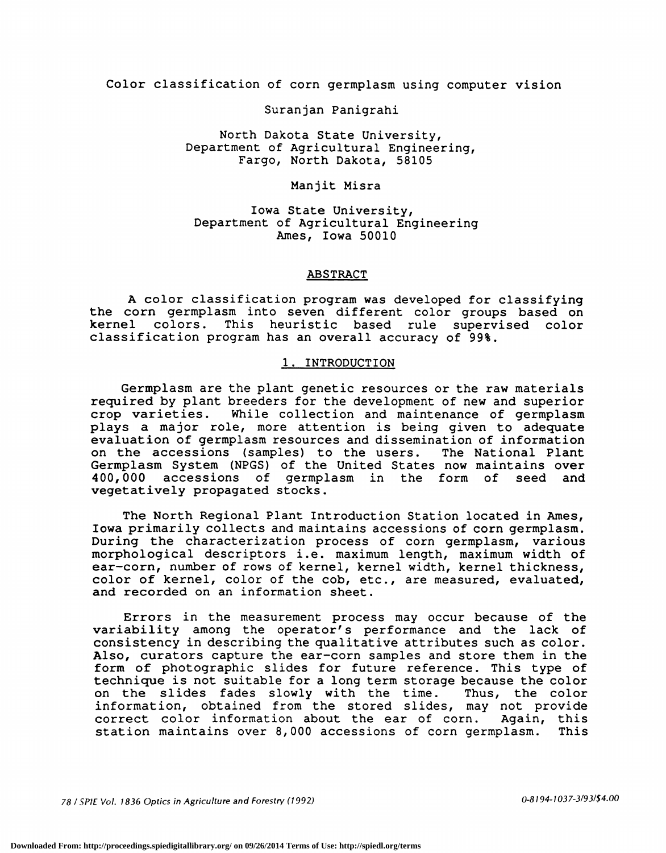Color classification of corn germplasm using computer vision

Suranjan Panigrahi

North Dakota State University, Department of Agricultural Engineering, Fargo, North Dakota, 58105

### Manjit Misra

Iowa State University, Department of Agricultural Engineering Ames, Iowa 50010

### ABSTRACT

A color classification program was developed for classifying the corn germplasm into seven different color groups based on kernel colors. This heuristic based rule supervised color classification program has an overall accuracy of 99%.

#### 1. INTRODUCTION

Germplasm are the plant genetic resources or the raw materials required by plant breeders for the development of new and superior crop varieties. While collection and maintenance of germplasm plays a major role, more attention is being given to adequate evaluation of germplasm resources and dissemination of information on the accessions (samples) to the users. The National Plant Germplasm System (NPGS) of the United States now maintains over 400,000 accessions of germplasm in the form of seed and vegetatively propagated stocks.

The North Regional Plant Introduction Station located in Ames, Iowa primarily collects and maintains accessions of corn germplasm. During the characterization process of corn germplasm, various morphological descriptors i.e. maximum length, maximum width of ear-corn, number of rows of kernel, kernel width, kernel thickness, color of kernel, color of the cob, etc., are measured, evaluated, and recorded on an information sheet.

Errors in the measurement process may occur because of the variability among the operator's performance and the lack of consistency in describing the qualitative attributes such as color. Also, curators capture the ear-corn samples and store them in the form of photographic slides for future reference. This type of technique is not suitable for a long term storage because the color on the slides fades slowly with the time. Thus, the color information, obtained from the stored slides, may not provide correct color information about the ear of corn. Again, this station maintains over 8,000 accessions of corn germplasm. This station maintains over 8,000 accessions of corn germplasm.

78 / SPIE Vol. 1836 Optics in Agriculture and Forestry (1992) 0-8194-1037-3/93/\$4.00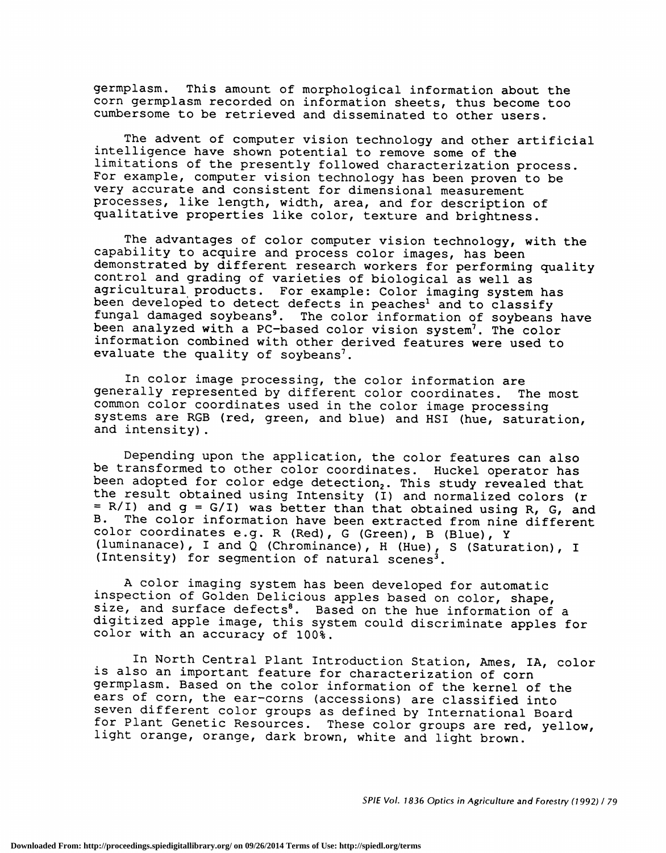germplasm. This amount of morphological information about the corn germplasm recorded on information sheets, thus become too cumbersome to be retrieved and disseminated to other users.

The advent of computer vision technology and other artificial intelligence have shown potential to remove some of the limitations of the presently followed characterization process. For example, computer vision technology has been proven to be very accurate and consistent for dimensional measurement processes, like length, width, area, and for description of qualitative properties like color, texture and brightness.

The advantages of color computer vision technology, with the capability to acquire and process color images, has been demonstrated by different research workers for performing quality control and grading of varieties of biological as well as agricultural products. For example: Color imaging system has been developed to detect defects in peaches' and to classify fungal damaged soybeans<sup>9</sup>. The color information of soybeans have been analyzed with a PC-based color vision system'. The color information combined with other derived features were used to evaluate the quality of soybeans<sup>7</sup>.

In color image processing, the color information are generally represented by different color coordinates. The most common color coordinates used in the color image processing systems are RGB (red, green, and blue) and HSI (hue, saturation, and intensity).

Depending upon the application, the color features can also be transformed to other color coordinates. Huckel operator has been adopted for color edge detection<sub>2</sub>. This study revealed that the result obtained using Intensity (I) and normalized colors (r  $= R/I$ ) and  $g = G/I$ ) was better than that obtained using R, G, and B. The color information have been extracted from pine different The color information have been extracted from nine different color coordinates e.g. R (Red), G (Green), B (Blue), Y (luminanace), I and Q (Chrominance), H (Hue), S (Saturation), I (Intensity) for segmention of natural scenes<sup>3</sup>.

A color imaging system has been developed for automatic inspection of Golden Delicious apples based on color, shape, size, and surface defects<sup>8</sup>. Based on the hue information of a digitized apple image, this system could discriminate apples for color with an accuracy of 100%.

In North Central Plant Introduction Station, Ames, IA, color is also an important feature for characterization of corn germplasm. Based on the color information of the kernel of the ears of corn, the ear-corns (accessions) are classified into seven different color groups as defined by International Board for Plant Genetic Resources. These color groups are red, yellow, light orange, orange, dark brown, white and light brown.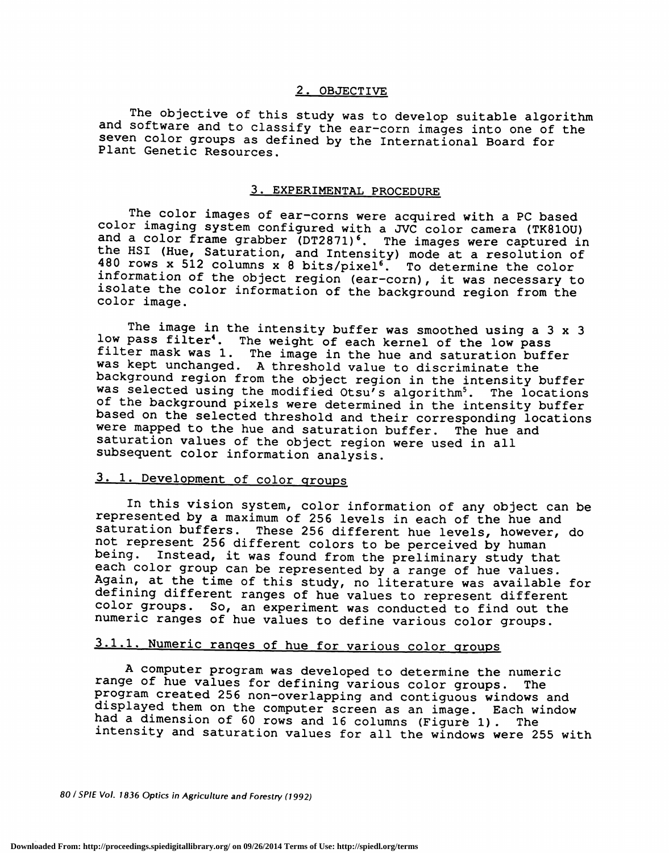### 2. OBJECTIVE

The objective of this study was to develop suitable algorithm and software and to classify the ear—corn images into one of the seven color groups as defined by the International Board for Plant Genetic Resources.

### 3. EXPERIMENTAL PROCEDURE

The color images of ear-corns were acquired with a PC based color imaging system configured with a JVC color camera (TK81OU) and a color frame grabber (DT2871)<sup>6</sup>. The images were captured in the HSI (Hue, Saturation, and Intensity) mode at a resolution of 480 rows x 512 columns x 8 bits/pixel6. To determine the color information of the object region (ear—corn) , it was necessary to isolate the color information of the background region from the color image.

The image in the intensity buffer was smoothed using a 3 x 3 low pass filter<sup>4</sup>. The weight of each kernel of the low pass filter mask was 1. The image in the hue and saturation buffer was kept unchanged. A threshold value to discriminate the background region from the object region in the intensity buffer was selected using the modified Otsu's algorithm<sup>5</sup>. The locations of the background pixels were determined in the intensity buffer based on the selected threshold and their corresponding locations were mapped to the hue and saturation buffer. The hue and saturation values of the object region were used in all subsequent color information analysis.

### 3. 1. Development of color groups

In this vision system, color information of any object can be represented by a maximum of 256 levels in each of the hue and saturation buffers. These 256 different hue levels, however, do not represent 256 different colors to be perceived by human being. Instead, it was found from the preliminary study that each color group can be represented by a range of hue values. Again, at the time of this study, no literature was available for defining different ranges of hue values to represent different color groups. So, an experiment was conducted to find out the numeric ranges of hue values to define various color groups.

## 3.1.1. Numeric ranges of hue for various color groups

A computer program was developed to determine the numeric range of hue values for defining various color groups. The program created 256 non—overlapping and contiguous windows and displayed them on the computer screen as an image. Each window had a dimension of 60 rows and 16 columns (Figure 1) . The intensity and saturation values for all the windows were 255 with

80 / SPIE Vol. 1836 Optics in Agriculture and Forestry (1992)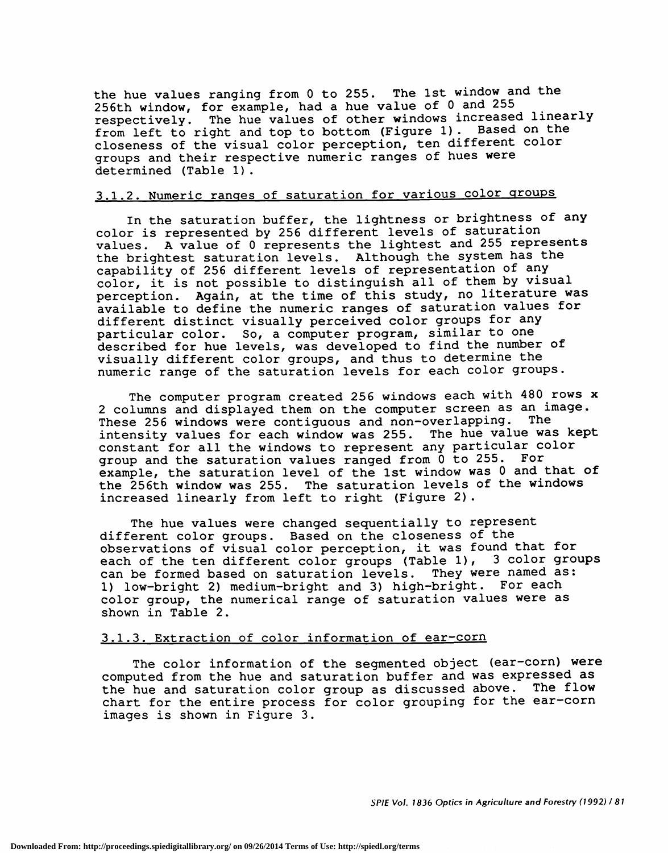the hue values ranging from 0 to 255. The 1st window and the 256th window, for example, had a hue value of 0 and 255 respectively. The hue values of other windows increased linearly from left to right and top to bottom (Figure 1) . Based on the closeness of the visual color perception, ten different color groups and their respective numeric ranges of hues were determined (Table 1).

### 3.1.2. Numeric ranges of saturation for various color groups

In the saturation buffer, the lightness or brightness of any color is represented by 256 different levels of saturation<br>values. A value of 0 represents the lightest and 255 repre A value of 0 represents the lightest and 255 represents the brightest saturation levels. Although the system has the capability of 256 different levels of representation of any color, it is not possible to distinguish all of them by visual perception. Again, at the time of this study, no literature was available to define the numeric ranges of saturation values for different distinct visually perceived color groups for any particular color. So, a computer program, similar to one described for hue levels, was developed to find the number of visually different color groups, and thus to determine the numeric range of the saturation levels for each color groups.

The computer program created 256 windows each with 480 rows x 2 columns and displayed them on the computer screen as an image. These 256 windows were contiguous and non—overlapping. The intensity values for each window was 255. The hue value was kept constant for all the windows to represent any particular color group and the saturation values ranged from 0 to 255. For example, the saturation level of the 1st window was 0 and that of the 256th window was 255. The saturation levels of the windows increased linearly from left to right (Figure 2).

The hue values were changed sequentially to represent different color groups. Based on the closeness of the observations of visual color perception, it was found that for each of the ten different color groups (Table 1), 3 color groups can be formed based on saturation levels. They were named as: 1) low-bright 2) medium-bright and 3) high-bright. For each color group, the numerical range of saturation values were as shown in Table 2.

### 3.1.3. Extraction of color information of ear-corn

The color information of the segmented object (ear-corn) were computed from the hue and saturation buffer and was expressed as the hue and saturation color group as discussed above. The flow chart for the entire process for color grouping for the ear-corn images is shown in Figure 3.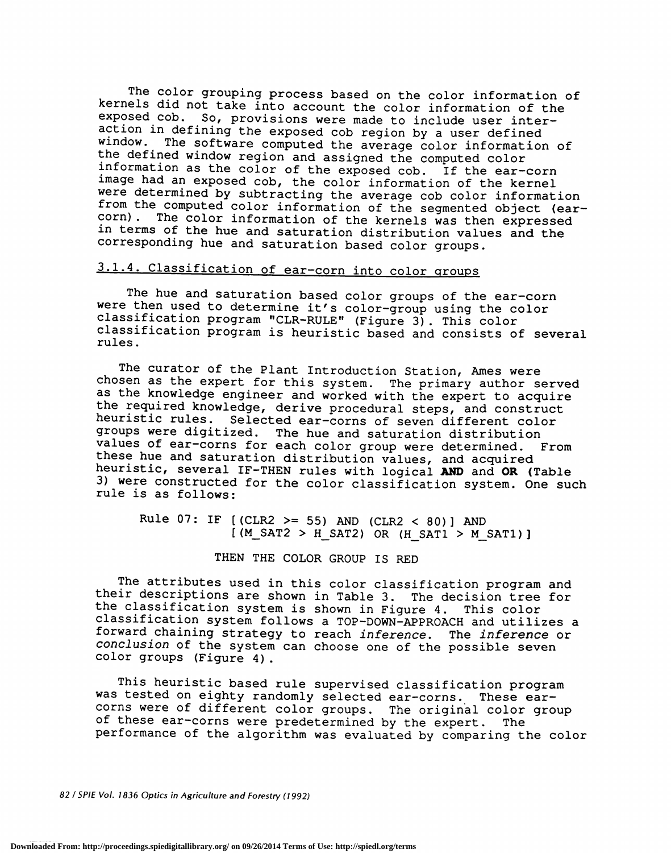The color grouping process based on the color information of kernels did not take into account the color information of the exposed cob. So, provisions were made to include user interaction in defining the exposed cob region by a user defined<br>window. The software computed the average color information of<br>the defined window region and assigned the computed color information as the color of the exposed cob. If the ear-corn image had an exposed cob, the color information of the kernel were determined by subtracting the average cob color information from the computed color information of the segmented object (ear-<br>corn). The color information of the kernals was then expressed The color information of the kernels was then expressed in terms of the hue and saturation distribution values and the corresponding hue and saturation based color groups.

# 3.1.4. Classification of ear-corn into color groups

The hue and saturation based color groups of the ear-corn were then used to determine it's color-group using the color classification program "CLR—RULE" (Figure 3) . This color classification program is heuristic based and consists of several rules.

The curator of the Plant Introduction Station, Ames were chosen as the expert for this system. The primary author served as the knowledge engineer and worked with the expert to acquire the required knowledge, derive procedural steps, and construct heuristic rules. Selected ear—corns of seven different color groups were digitized. The hue and saturation distribution values of ear-corns for each color group were determined. From these hue and saturation distribution values, and acquired heuristic, several IF-THEN rules with logical AND and OR (Table 3) were constructed for the color classification system. One such rule is as follows:

Rule 07: IF  $[(CLR2 \gt= 55)$  AND  $(CLR2 < 80)]$  AND  $[M_SAT2 > H_SAT2)$  OR  $(H_SAT1 > M_SAT1)$ ]

### THEN THE COLOR GROUP IS RED

The attributes used in this color classification program and their descriptions are shown in Table 3. The decision tree for the classification system is shown in Figure 4. This color classification system follows a TOP-DOWN—APPROACH and utilizes a forward chaining strategy to reach inference. The inference or conclusion of the system can choose one of the possible seven color groups (Figure 4)

This heuristic based rule supervised classification program was tested on eighty randomly selected ear—corns. These ear corns were of different color groups. The original color group of these ear—corns were predetermined by the expert. The performance of the algorithm was evaluated by comparing the color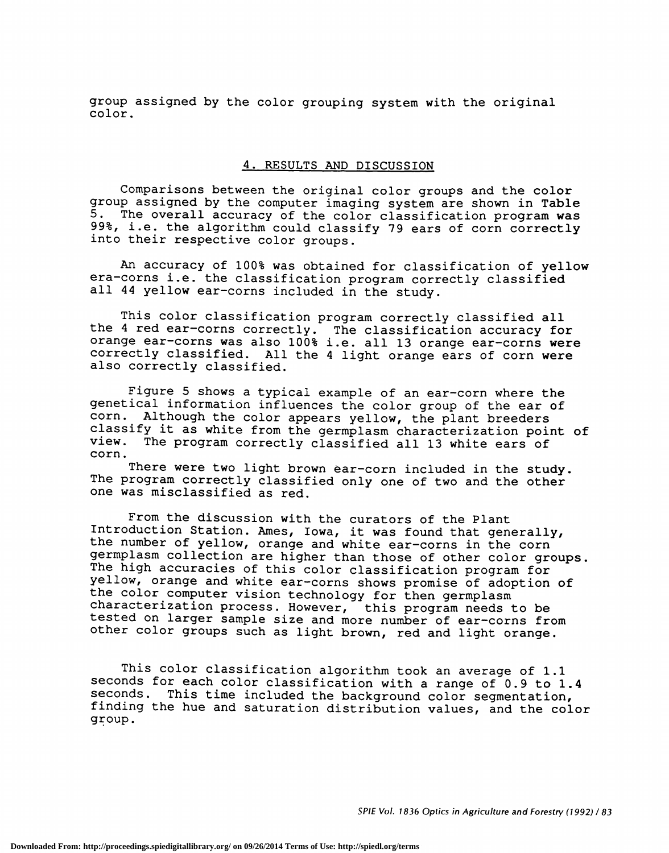group assigned by the color grouping system with the original color.

### 4. RESULTS AND DISCUSSION

Comparisons between the original color groups and the color group assigned by the computer imaging system are shown in Table 5. The overall accuracy of the color classification program was 99%, i.e. the algorithm could classify 79 ears of corn correctly into their respective color groups.

An accuracy of 100% was obtained for classification of yellow era—corns i.e. the classification program correctly classified all 44 yellow ear-corns included in the study.

This color classification program correctly classified all the 4 red ear-corns correctly. The classification accuracy for orange ear-corns was also 100% i.e. all 13 orange ear-corns were correctly classified. All the 4 light orange ears of corn were also correctly classified.

Figure 5 shows a typical example of an ear—corn where the genetical information influences the color group of the ear of corn. Although the color appears yellow, the plant breeders classify it as white from the germplasm characterization point of view. The program correctly classified all 13 white ears of corn.

There were two light brown ear-corn included in the study. The program correctly classified only one of two and the other one was misclassified as red.

From the discussion with the curators of the Plant Introduction Station. Ames, Iowa, it was found that generally, the number of yellow, orange and white ear-corns in the corn germplasm collection are higher than those of other color groups. The high accuracies of this color classification program for yellow, orange and white ear-corns shows promise of adoption of the color computer vision technology for then germplasm characterization process. However, this program needs to be tested on larger sample size and more number of ear—corns from other color groups such as light brown, red and light orange.

This color classification algorithm took an average of 1.1 seconds for each color classification with a range of 0.9 to 1.4 seconds. This time included the background color segmentation, finding the hue and saturation distribution values, and the color group.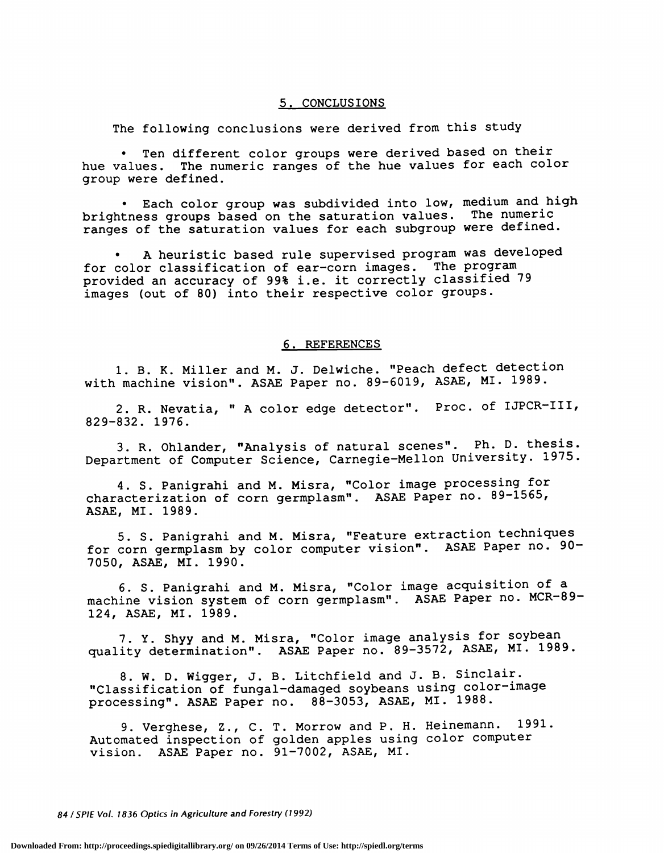#### 5. CONCLUSIONS

The following conclusions were derived from this study

Ten different color groups were derived based on their hue values. The numeric ranges of the hue values for each color group were defined.

Each color group was subdivided into low, medium and high brightness groups based on the saturation values. The numeric ranges of the saturation values for each subgroup were defined.

A heuristic based rule supervised program was developed for color classification of ear—corn images. The program provided an accuracy of 99% i.e. it correctly classified 79 images (out of 80) into their respective color groups.

#### 6. REFERENCES

1. B. K. Miller and M. J. Deiwiche. "Peach defect detection with machine vision". ASAE Paper no. 89—6019, ASAE, MI. 1989.

2. R. Nevatia, " A color edge detector". Proc. of IJPCR—III, 829—832. 1976.

3. R. Ohiander, "Analysis of natural scenes". Ph. D. thesis. Department of Computer Science, Carnegie—Mellon University. 1975.

4. S. Panigrahi and M. Misra, "Color image processing for characterization of corn germplasm". ASAE Paper no. 89—1565, ASAE, MI. 1989.

5. S. Panigrahi and M. Misra, "Feature extraction techniques for corn germplasm by color computer vision". ASAE Paper no. 90-7050, ASAE, MI. 1990.

6. S. Panigrahi and M. Misra, "Color image acquisition of a machine vision system of corn germplasm". ASAE Paper no. MCR—89— 124, ASAE, MI. 1989.

7. Y. Shyy and M. Misra, "Color image analysis for soybean quality determination". ASAE Paper no. 89—3572, ASAE, MI. 1989.

8. W. D. Wigger, J. B. Litchfield and J. B. Sinclair. "Classification of fungal—damaged soybeans using color—image processing". ASAE Paper no. 88—3053, ASAE, MI. 1988.

9. Verghese, Z., C. T. Morrow and P. H. Heinemann. 1991. Automated inspection of golden apples using color computer vision. ASAE Paper no. 91—7002, ASAE, MI.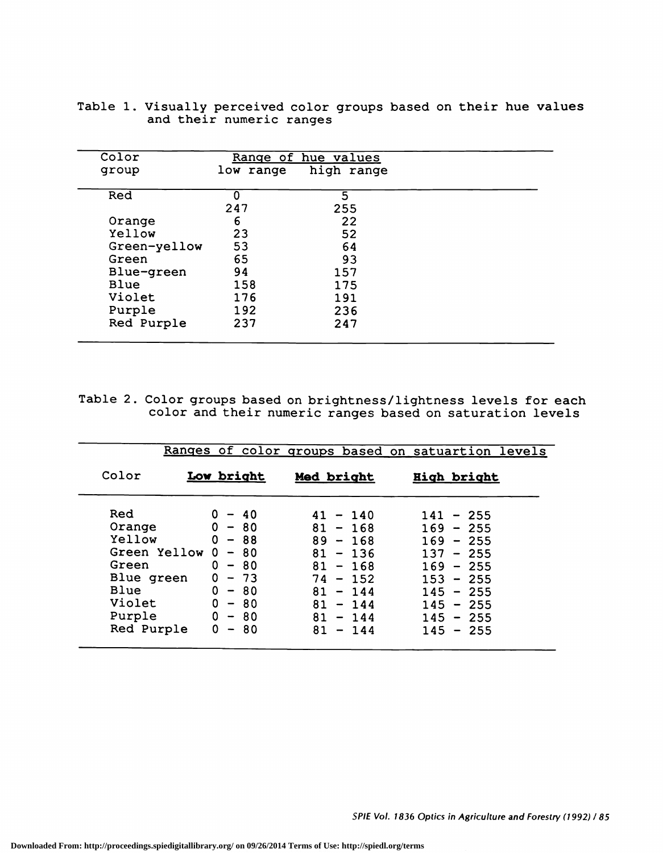| Color        | Range of hue values |     |  |
|--------------|---------------------|-----|--|
| group        |                     |     |  |
| Red          |                     | 5   |  |
|              | 247                 | 255 |  |
| Orange       | 6                   | 22  |  |
| Yellow       | 23                  | 52  |  |
| Green-yellow | 53                  | 64  |  |
| Green        | 65                  | 93  |  |
| Blue-green   | 94                  | 157 |  |
| Blue         | 158                 | 175 |  |
| Violet       | 176                 | 191 |  |
| Purple       | 192                 | 236 |  |
| Red Purple   | 237                 | 247 |  |

| Table 1. Visually perceived color groups based on their hue values |  |
|--------------------------------------------------------------------|--|
| and their numeric ranges                                           |  |

Table 2. Color groups based on brightness/lightness levels for each color and their numeric ranges based on saturation levels

|              |                                      |              | Ranges of color groups based on satuartion levels |
|--------------|--------------------------------------|--------------|---------------------------------------------------|
| Color        | Low bright                           | Med bright   | High bright                                       |
| Red          | 0<br>$-40$                           | $41 - 140$   | $141 - 255$                                       |
| Orange       | $0 - 80$                             | $81 - 168$   | $169 - 255$                                       |
| Yellow       | $0 - 88$                             | $89 - 168$   | $169 - 255$                                       |
| Green Yellow | $\mathbf 0$<br>$-80$                 | 81<br>$-136$ | $137 - 255$                                       |
| Green        | 0<br>$-80$                           | $81 - 168$   | $169 - 255$                                       |
| Blue green   | 0<br>- 73                            | $74 - 152$   | $153 - 255$                                       |
| Blue         | 0<br>$-80$                           | 81<br>$-144$ | $145 - 255$                                       |
| Violet       | $0 - 80$                             | $81 - 144$   | $145 - 255$                                       |
| Purple       | 0<br>- 80                            | $81 - 144$   | $145 - 255$                                       |
| Red Purple   | 0<br>-80<br>$\overline{\phantom{a}}$ | 81<br>$-144$ | $145 - 255$                                       |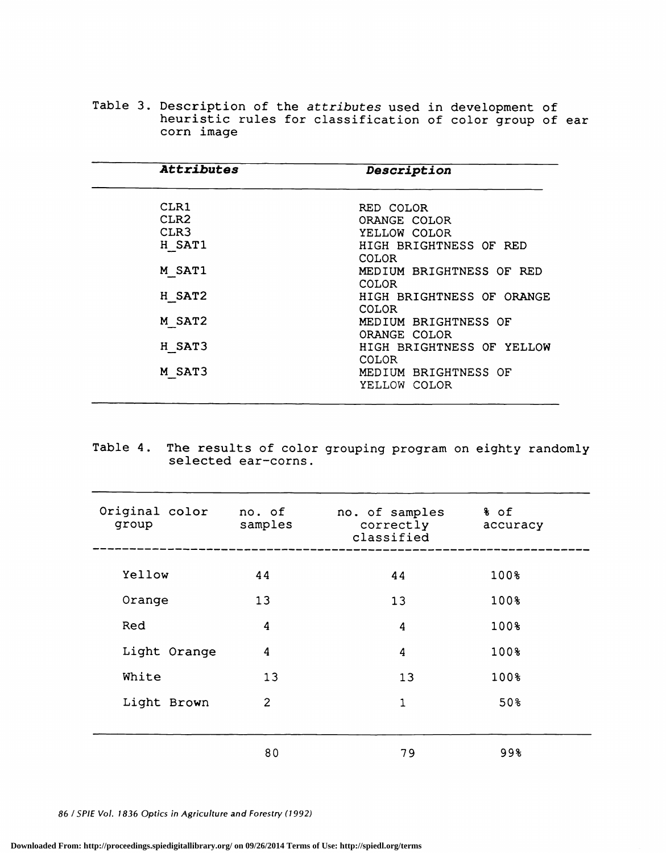Table 3. Description of the attributes used in development of heuristic rules for classification of color group of ear corn image

| <b>Attributes</b> | Description                               |
|-------------------|-------------------------------------------|
| CLR1              | RED COLOR                                 |
| CLR <sub>2</sub>  | ORANGE COLOR                              |
| CLR <sub>3</sub>  | YELLOW COLOR                              |
| H SAT1            | HIGH BRIGHTNESS OF RED<br><b>COLOR</b>    |
| M SAT1            | MEDIUM BRIGHTNESS OF RED<br><b>COLOR</b>  |
| H SAT2            | HIGH BRIGHTNESS OF ORANGE<br>COLOR.       |
| M SAT2            | MEDIUM BRIGHTNESS OF<br>ORANGE COLOR      |
| H SAT3            | HIGH BRIGHTNESS OF YELLOW<br><b>COLOR</b> |
| M SAT3            | MEDIUM BRIGHTNESS OF<br>YELLOW COLOR      |

Table 4. The results of color grouping program on eighty randomly selected ear—corns.

| Original color<br>group | no. of<br>samples | no. of samples<br>correctly<br>classified | % of<br>accuracy |
|-------------------------|-------------------|-------------------------------------------|------------------|
| Yellow                  | 44                | 44                                        | 100%             |
| Orange                  | 13                | 13                                        | 100%             |
| Red                     | $\boldsymbol{4}$  | 4                                         | 100%             |
| Light Orange            | 4                 | 4                                         | 100%             |
| White                   | 13                | 13                                        | 100%             |
| Light Brown             | $\overline{c}$    | $\mathbf{1}$                              | 50%              |
|                         |                   |                                           |                  |
|                         | 80                | 79                                        | 99               |

86 ISPIE Vol. 1836 Optics in Agriculture and Forestry (1992)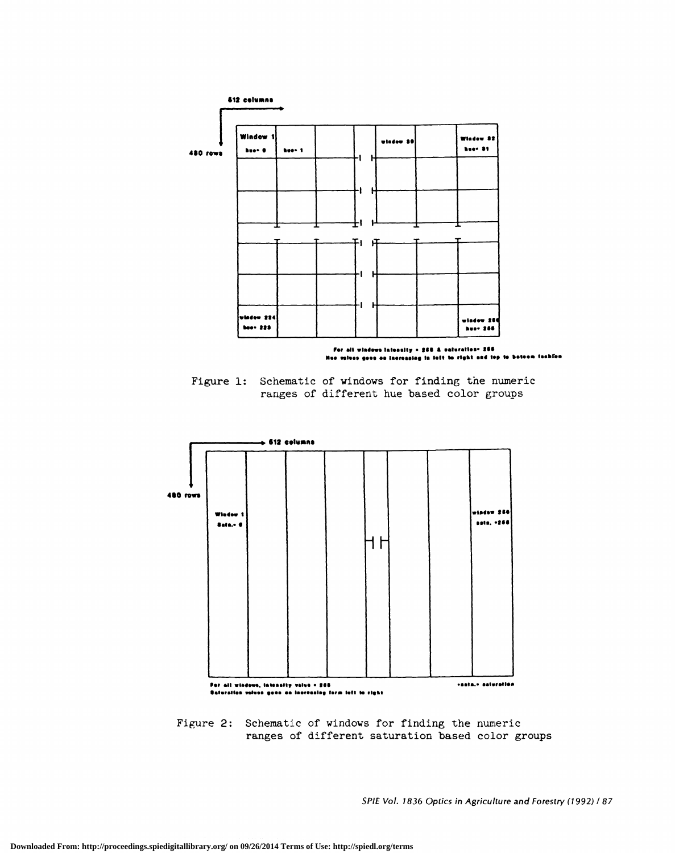

For all windows Iaionalty • 268. A vaturation= 266.<br>Nue values geos es Inoreasing in left to right and top to betoem fashfon

Figure 1: Schematic of windows for finding the numeric ranges of different hue based color groups



Figure 2: Schematic of windows for finding the numeric ranges of different saturation based color groups

SPIE Vol. 1836 Optics in Agriculture and Forestry (1992) / 87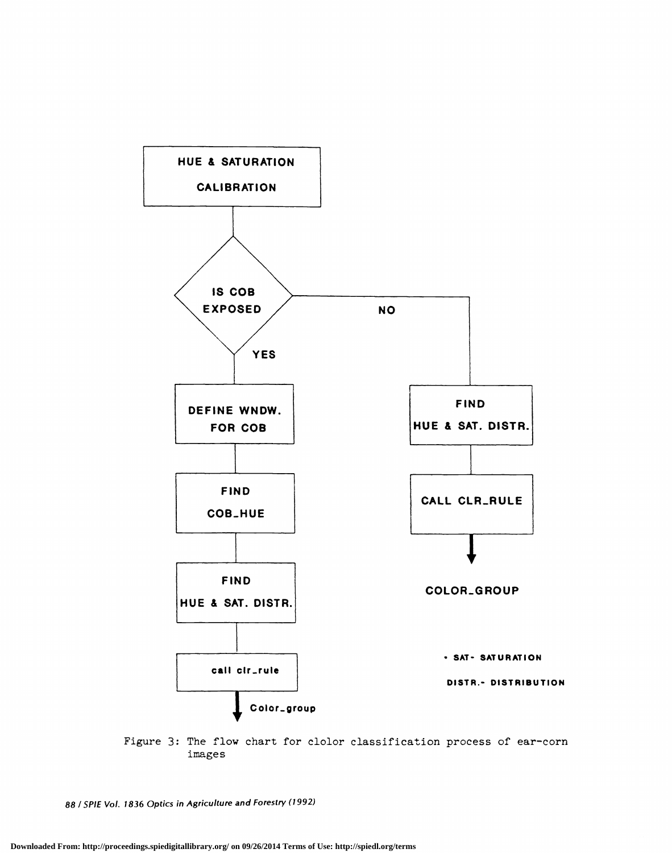

Figure 3: The flow chart for clolor classification process of ear-corn images

88 ISPIE Vol. 1836 Optics in Agriculture and Forestry(1992)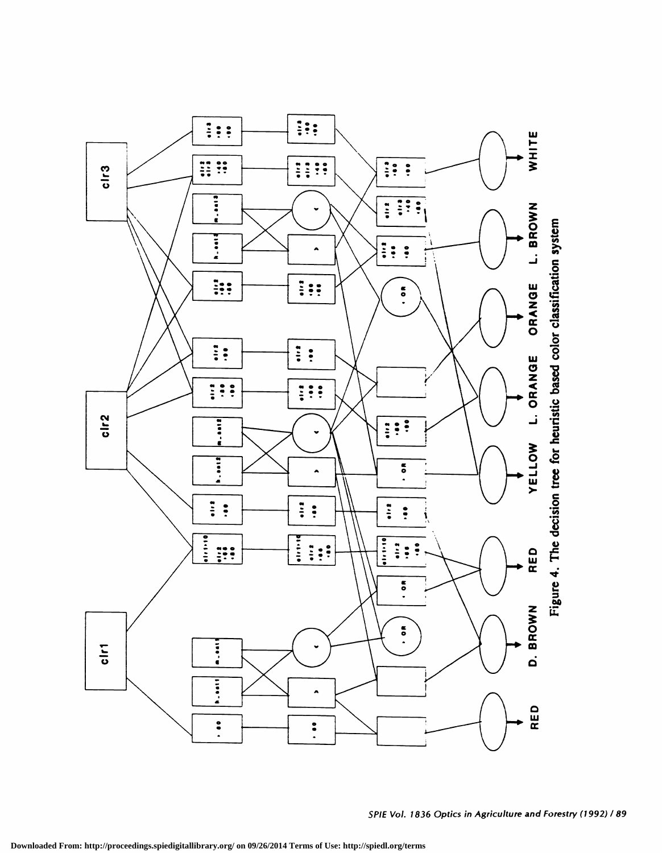